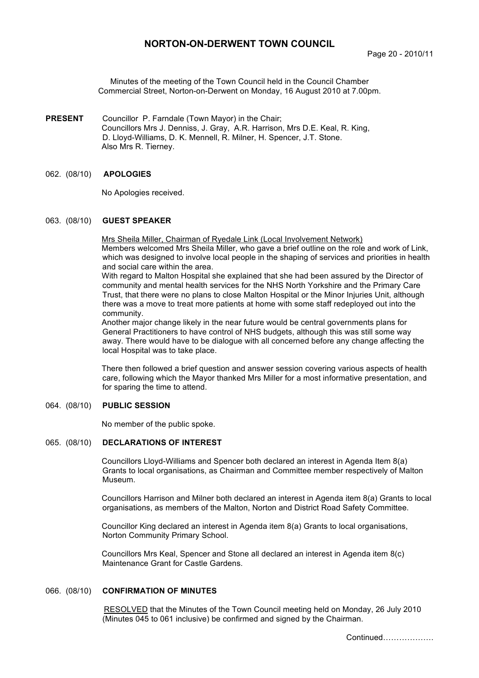# **NORTON-ON-DERWENT TOWN COUNCIL**

Minutes of the meeting of the Town Council held in the Council Chamber Commercial Street, Norton-on-Derwent on Monday, 16 August 2010 at 7.00pm.

- **PRESENT** Councillor P. Farndale (Town Mayor) in the Chair; Councillors Mrs J. Denniss, J. Gray, A.R. Harrison, Mrs D.E. Keal, R. King, D. Lloyd-Williams, D. K. Mennell, R. Milner, H. Spencer, J.T. Stone. Also Mrs R. Tierney.
- 062. (08/10) **APOLOGIES**

No Apologies received.

#### 063. (08/10) **GUEST SPEAKER**

Mrs Sheila Miller, Chairman of Ryedale Link (Local Involvement Network) Members welcomed Mrs Sheila Miller, who gave a brief outline on the role and work of Link, which was designed to involve local people in the shaping of services and priorities in health and social care within the area.

With regard to Malton Hospital she explained that she had been assured by the Director of community and mental health services for the NHS North Yorkshire and the Primary Care Trust, that there were no plans to close Malton Hospital or the Minor Injuries Unit, although there was a move to treat more patients at home with some staff redeployed out into the community.

Another major change likely in the near future would be central governments plans for General Practitioners to have control of NHS budgets, although this was still some way away. There would have to be dialogue with all concerned before any change affecting the local Hospital was to take place.

There then followed a brief question and answer session covering various aspects of health care, following which the Mayor thanked Mrs Miller for a most informative presentation, and for sparing the time to attend.

### 064. (08/10) **PUBLIC SESSION**

No member of the public spoke.

#### 065. (08/10) **DECLARATIONS OF INTEREST**

Councillors Lloyd-Williams and Spencer both declared an interest in Agenda Item 8(a) Grants to local organisations, as Chairman and Committee member respectively of Malton Museum.

Councillors Harrison and Milner both declared an interest in Agenda item 8(a) Grants to local organisations, as members of the Malton, Norton and District Road Safety Committee.

Councillor King declared an interest in Agenda item 8(a) Grants to local organisations, Norton Community Primary School.

Councillors Mrs Keal, Spencer and Stone all declared an interest in Agenda item 8(c) Maintenance Grant for Castle Gardens.

### 066. (08/10) **CONFIRMATION OF MINUTES**

 RESOLVED that the Minutes of the Town Council meeting held on Monday, 26 July 2010 (Minutes 045 to 061 inclusive) be confirmed and signed by the Chairman.

Continued……………….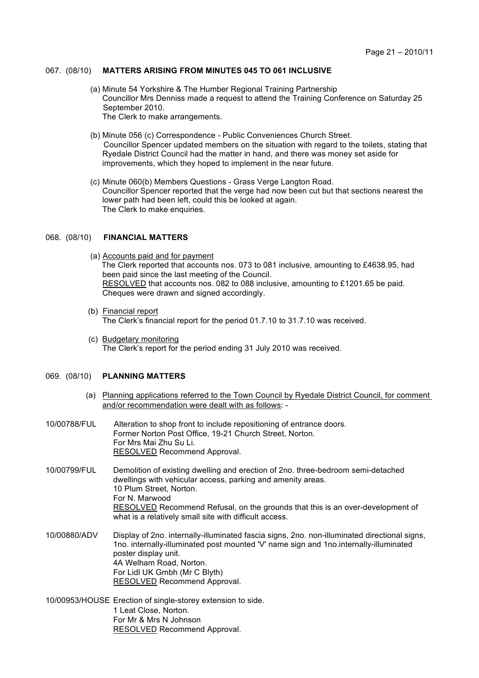### 067. (08/10) **MATTERS ARISING FROM MINUTES 045 TO 061 INCLUSIVE**

- (a) Minute 54 Yorkshire & The Humber Regional Training Partnership Councillor Mrs Denniss made a request to attend the Training Conference on Saturday 25 September 2010. The Clerk to make arrangements.
- (b) Minute 056 (c) Correspondence Public Conveniences Church Street. Councillor Spencer updated members on the situation with regard to the toilets, stating that Ryedale District Council had the matter in hand, and there was money set aside for improvements, which they hoped to implement in the near future.
- (c) Minute 060(b) Members Questions Grass Verge Langton Road. Councillor Spencer reported that the verge had now been cut but that sections nearest the lower path had been left, could this be looked at again. The Clerk to make enquiries.

### 068. (08/10) **FINANCIAL MATTERS**

- (a) Accounts paid and for payment The Clerk reported that accounts nos. 073 to 081 inclusive, amounting to £4638.95, had been paid since the last meeting of the Council. RESOLVED that accounts nos. 082 to 088 inclusive, amounting to £1201.65 be paid. Cheques were drawn and signed accordingly.
- (b) Financial report The Clerk's financial report for the period 01.7.10 to 31.7.10 was received.
- (c) Budgetary monitoring The Clerk's report for the period ending 31 July 2010 was received.

## 069. (08/10) **PLANNING MATTERS**

- (a) Planning applications referred to the Town Council by Ryedale District Council, for comment and/or recommendation were dealt with as follows: -
- 10/00788/FUL Alteration to shop front to include repositioning of entrance doors. Former Norton Post Office, 19-21 Church Street, Norton. For Mrs Mai Zhu Su Li. **RESOLVED Recommend Approval.**
- 10/00799/FUL Demolition of existing dwelling and erection of 2no. three-bedroom semi-detached dwellings with vehicular access, parking and amenity areas. 10 Plum Street, Norton. For N. Marwood RESOLVED Recommend Refusal, on the grounds that this is an over-development of what is a relatively small site with difficult access.
- 10/00880/ADV Display of 2no. internally-illuminated fascia signs, 2no. non-illuminated directional signs, 1no. internally-illuminated post mounted 'V' name sign and 1no.internally-illuminated poster display unit. 4A Welham Road, Norton. For Lidl UK Gmbh (Mr C Blyth) RESOLVED Recommend Approval.
- 10/00953/HOUSE Erection of single-storey extension to side. 1 Leat Close, Norton. For Mr & Mrs N Johnson RESOLVED Recommend Approval.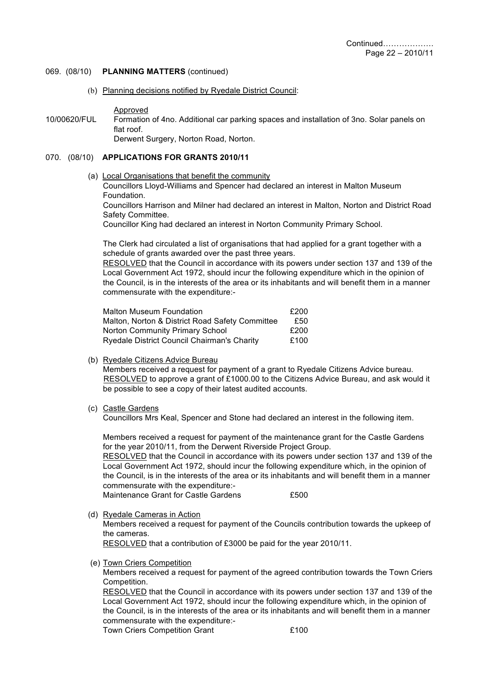- 069. (08/10) **PLANNING MATTERS** (continued)
	- (b) Planning decisions notified by Ryedale District Council:

#### Approved

10/00620/FUL Formation of 4no. Additional car parking spaces and installation of 3no. Solar panels on flat roof.

Derwent Surgery, Norton Road, Norton.

## 070. (08/10) **APPLICATIONS FOR GRANTS 2010/11**

(a) Local Organisations that benefit the community

Councillors Lloyd-Williams and Spencer had declared an interest in Malton Museum Foundation.

Councillors Harrison and Milner had declared an interest in Malton, Norton and District Road Safety Committee.

Councillor King had declared an interest in Norton Community Primary School.

The Clerk had circulated a list of organisations that had applied for a grant together with a schedule of grants awarded over the past three years.

RESOLVED that the Council in accordance with its powers under section 137 and 139 of the Local Government Act 1972, should incur the following expenditure which in the opinion of the Council, is in the interests of the area or its inhabitants and will benefit them in a manner commensurate with the expenditure:-

| <b>Malton Museum Foundation</b>                 | £200 |
|-------------------------------------------------|------|
| Malton, Norton & District Road Safety Committee | £50  |
| Norton Community Primary School                 | £200 |
| Ryedale District Council Chairman's Charity     | £100 |

### (b) Ryedale Citizens Advice Bureau

Members received a request for payment of a grant to Ryedale Citizens Advice bureau. RESOLVED to approve a grant of £1000.00 to the Citizens Advice Bureau, and ask would it be possible to see a copy of their latest audited accounts.

(c) Castle Gardens

Councillors Mrs Keal, Spencer and Stone had declared an interest in the following item.

Members received a request for payment of the maintenance grant for the Castle Gardens for the year 2010/11, from the Derwent Riverside Project Group.

RESOLVED that the Council in accordance with its powers under section 137 and 139 of the Local Government Act 1972, should incur the following expenditure which, in the opinion of the Council, is in the interests of the area or its inhabitants and will benefit them in a manner commensurate with the expenditure:-

Maintenance Grant for Castle Gardens **E**500

(d) Ryedale Cameras in Action

Members received a request for payment of the Councils contribution towards the upkeep of the cameras.

RESOLVED that a contribution of £3000 be paid for the year 2010/11.

(e) Town Criers Competition

Members received a request for payment of the agreed contribution towards the Town Criers Competition.

RESOLVED that the Council in accordance with its powers under section 137 and 139 of the Local Government Act 1972, should incur the following expenditure which, in the opinion of the Council, is in the interests of the area or its inhabitants and will benefit them in a manner commensurate with the expenditure:-

Town Criers Competition Grant **E100**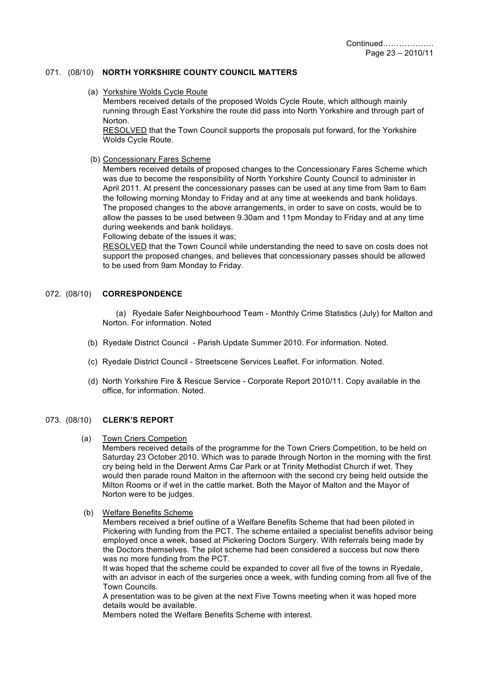## 071. (08/10) **NORTH YORKSHIRE COUNTY COUNCIL MATTERS**

(a) Yorkshire Wolds Cycle Route

Members received details of the proposed Wolds Cycle Route, which although mainly running through East Yorkshire the route did pass into North Yorkshire and through part of Norton.

RESOLVED that the Town Council supports the proposals put forward, for the Yorkshire Wolds Cycle Route.

(b) Concessionary Fares Scheme

Members received details of proposed changes to the Concessionary Fares Scheme which was due to become the responsibility of North Yorkshire County Council to administer in April 2011. At present the concessionary passes can be used at any time from 9am to 6am the following morning Monday to Friday and at any time at weekends and bank holidays. The proposed changes to the above arrangements, in order to save on costs, would be to allow the passes to be used between 9.30am and 11pm Monday to Friday and at any time during weekends and bank holidays.

Following debate of the issues it was;

RESOLVED that the Town Council while understanding the need to save on costs does not support the proposed changes, and believes that concessionary passes should be allowed to be used from 9am Monday to Friday.

## 072. (08/10) **CORRESPONDENCE**

 (a) Ryedale Safer Neighbourhood Team - Monthly Crime Statistics (July) for Malton and Norton. For information. Noted

- (b) Ryedale District Council Parish Update Summer 2010. For information. Noted.
- (c) Ryedale District Council Streetscene Services Leaflet. For information. Noted.
- (d) North Yorkshire Fire & Rescue Service Corporate Report 2010/11. Copy available in the office, for information. Noted.

# 073. (08/10) **CLERK'S REPORT**

(a) Town Criers Competion

Members received details of the programme for the Town Criers Competition, to be held on Saturday 23 October 2010. Which was to parade through Norton in the morning with the first cry being held in the Derwent Arms Car Park or at Trinity Methodist Church if wet. They would then parade round Malton in the afternoon with the second cry being held outside the Milton Rooms or if wet in the cattle market. Both the Mayor of Malton and the Mayor of Norton were to be judges.

(b) Welfare Benefits Scheme

Members received a brief outline of a Welfare Benefits Scheme that had been piloted in Pickering with funding from the PCT. The scheme entailed a specialist benefits advisor being employed once a week, based at Pickering Doctors Surgery. With referrals being made by the Doctors themselves. The pilot scheme had been considered a success but now there was no more funding from the PCT.

It was hoped that the scheme could be expanded to cover all five of the towns in Ryedale, with an advisor in each of the surgeries once a week, with funding coming from all five of the Town Councils.

A presentation was to be given at the next Five Towns meeting when it was hoped more details would be available.

Members noted the Welfare Benefits Scheme with interest.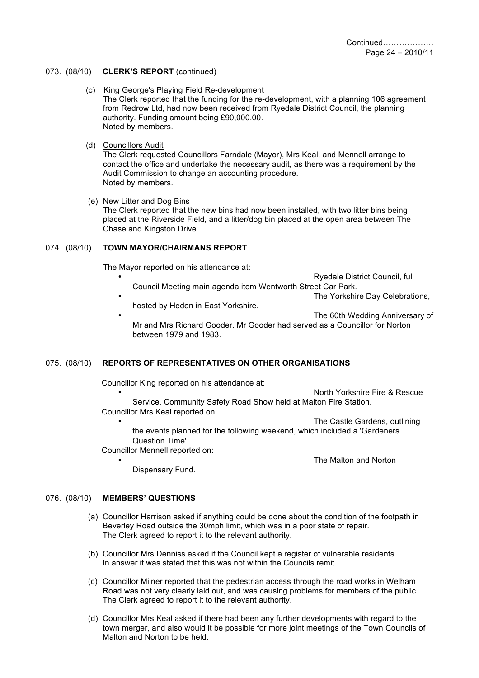#### 073. (08/10) **CLERK'S REPORT** (continued)

- (c) King George's Playing Field Re-development The Clerk reported that the funding for the re-development, with a planning 106 agreement from Redrow Ltd, had now been received from Ryedale District Council, the planning authority. Funding amount being £90,000.00. Noted by members.
- (d) Councillors Audit

The Clerk requested Councillors Farndale (Mayor), Mrs Keal, and Mennell arrange to contact the office and undertake the necessary audit, as there was a requirement by the Audit Commission to change an accounting procedure. Noted by members.

(e) New Litter and Dog Bins

The Clerk reported that the new bins had now been installed, with two litter bins being placed at the Riverside Field, and a litter/dog bin placed at the open area between The Chase and Kingston Drive.

#### 074. (08/10) **TOWN MAYOR/CHAIRMANS REPORT**

The Mayor reported on his attendance at:

- Ryedale District Council, full Council Meeting main agenda item Wentworth Street Car Park. The Yorkshire Day Celebrations,
- hosted by Hedon in East Yorkshire.

The 60th Wedding Anniversary of Mr and Mrs Richard Gooder. Mr Gooder had served as a Councillor for Norton between 1979 and 1983.

# 075. (08/10) **REPORTS OF REPRESENTATIVES ON OTHER ORGANISATIONS**

Councillor King reported on his attendance at:

• North Yorkshire Fire & Rescue Service, Community Safety Road Show held at Malton Fire Station. Councillor Mrs Keal reported on:

The Castle Gardens, outlining

• The Malton and Norton

the events planned for the following weekend, which included a 'Gardeners Question Time'.

Councillor Mennell reported on:

Dispensary Fund.

# 076. (08/10) **MEMBERS' QUESTIONS**

- (a) Councillor Harrison asked if anything could be done about the condition of the footpath in Beverley Road outside the 30mph limit, which was in a poor state of repair. The Clerk agreed to report it to the relevant authority.
- (b) Councillor Mrs Denniss asked if the Council kept a register of vulnerable residents. In answer it was stated that this was not within the Councils remit.
- (c) Councillor Milner reported that the pedestrian access through the road works in Welham Road was not very clearly laid out, and was causing problems for members of the public. The Clerk agreed to report it to the relevant authority.
- (d) Councillor Mrs Keal asked if there had been any further developments with regard to the town merger, and also would it be possible for more joint meetings of the Town Councils of Malton and Norton to be held.